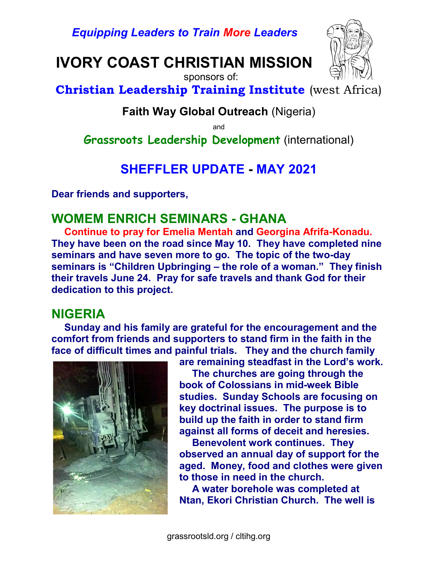Equipping Leaders to Train More Leaders

## IVORY COAST CHRISTIAN MISSION



sponsors of:

Christian Leadership Training Institute (west Africa)

#### Faith Way Global Outreach (Nigeria)

and

Grassroots Leadership Development (international)

## SHEFFLER UPDATE - MAY 2021

Dear friends and supporters,

#### WOMEM ENRICH SEMINARS - GHANA

Continue to pray for Emelia Mentah and Georgina Afrifa-Konadu. They have been on the road since May 10. They have completed nine seminars and have seven more to go. The topic of the two-day seminars is "Children Upbringing – the role of a woman." They finish their travels June 24. Pray for safe travels and thank God for their dedication to this project.

#### NIGERIA

Sunday and his family are grateful for the encouragement and the comfort from friends and supporters to stand firm in the faith in the face of difficult times and painful trials. They and the church family



are remaining steadfast in the Lord's work. The churches are going through the book of Colossians in mid-week Bible studies. Sunday Schools are focusing on key doctrinal issues. The purpose is to build up the faith in order to stand firm against all forms of deceit and heresies.

Benevolent work continues. They observed an annual day of support for the aged. Money, food and clothes were given to those in need in the church.

A water borehole was completed at Ntan, Ekori Christian Church. The well is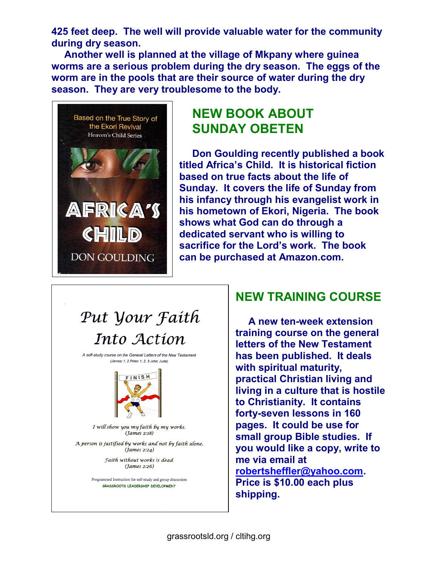425 feet deep. The well will provide valuable water for the community during dry season.

Another well is planned at the village of Mkpany where guinea worms are a serious problem during the dry season. The eggs of the worm are in the pools that are their source of water during the dry season. They are very troublesome to the body.



## NEW BOOK ABOUT SUNDAY OBETEN

Don Goulding recently published a book titled Africa's Child. It is historical fiction based on true facts about the life of Sunday. It covers the life of Sunday from his infancy through his evangelist work in his hometown of Ekori, Nigeria. The book shows what God can do through a dedicated servant who is willing to sacrifice for the Lord's work. The book can be purchased at Amazon.com.

# Put Your Faith Into Action

A self-study course on the General Letters of the New Testament (James; 1, 2 Peter; 1, 2, 3 John; Jude)



I will show you my faith by my works.  $(James 2:18)$ 

A person is justified by works and not by faith alone.  $(James 2:24)$ 

> Faith without works is dead. (James 2:26)

Programmed Instruction for self-study and group discussion GRASSROOTS LEADERSHIP DEVELOPMENT

### NEW TRAINING COURSE

A new ten-week extension training course on the general letters of the New Testament has been published. It deals with spiritual maturity, practical Christian living and living in a culture that is hostile to Christianity. It contains forty-seven lessons in 160 pages. It could be use for small group Bible studies. If you would like a copy, write to me via email at robertsheffler@yahoo.com. Price is \$10.00 each plus shipping.